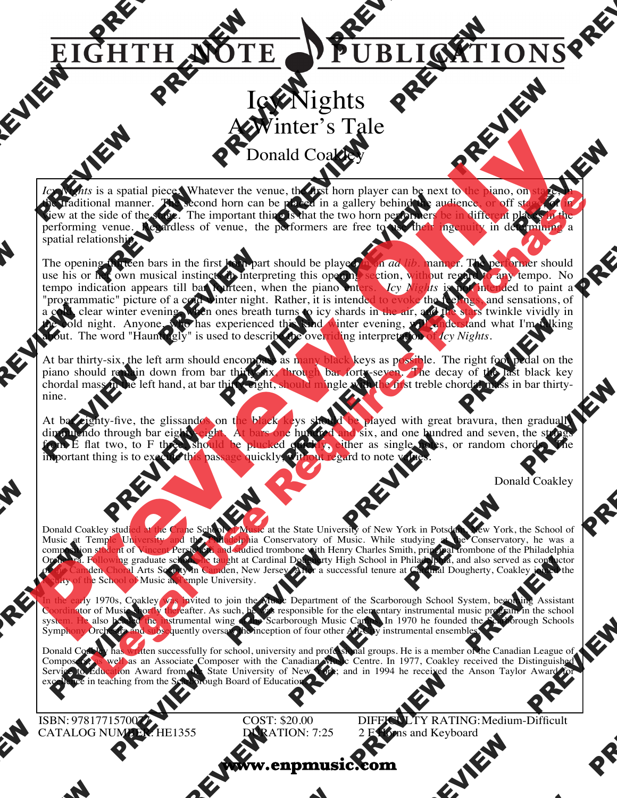## Icy Nights A Winter's Tale

Donald Coakley

*Icy Nights* is a spatial piece. Whatever the venue, the first horn player can be next to the piano, on stage, in the traditional manner. The second horn can be placed in a gallery behind the audience, or off stage, or in view at the side of the stage. The important thing is that the two horn performers be in different places in the performing venue. Regardless of venue, the performers are free to use their ingenuity in determining a spatial relationship.

The opening thirteen bars in the first horn part should be played in an *ad lib.* manner. The performer should use his or her own musical instincts in interpreting this opening section, without regard to any tempo. No tempo indication appears till bar fourteen, when the piano enters. *Icy Nights* is not intended to paint a "programmatic" picture of a cold winter night. Rather, it is intended to evoke the feelings, and sensations, of a cold, clear winter evening, when ones breath turns to icy shards in the air, and the stars twinkle vividly in the cold night. Anyone, who has experienced this kind winter evening, will understand what I'm talking about. The word "Hauntingly" is used to describe the overriding interpretation of *Icy Nights*. **EIGHTH NOTE**<br>
Cy Nights<br>
A Winter's Tale<br>
Low Nights A Winter's Tale<br>
Donald Coakley<br>
Low Nights as a spatial piece. Whatever the venue, the first hom player can be the tractional manner. The specifies of venue, the perfo **EIGHTH NOTE CONSULTS AND THE SECTION AND SECTION AND SECTION AND SECTION AND SECTION AND SECTION AND SECTION AND SECTION AND SECTION AND SECTION AND SECTION AND SECTION AND SECTION AND SECTION AND SECTION AND SECTION AND EXAMPLE IN THE NOTE CATION**<br>
Service is a month piece where the condition of Condition and Condition and Condition and Condition and Condition and Condition and Condition and Condition and Condition and Condition and Cond EIGHTH NOTE<br>
The Maghe is a spatial piece. Whatever the wome, the first herm buyer and the spatial of the state of the spatial piece. What we have the spatial piece. What we have the spatial of the spatial piece. What we h EIGHTH NOTE<br>
A Winter's Tale<br>
Donald Coaltey<br>
The Donald Coaltey<br>
The Marine Transporter of the Marine Transporter of the Marine Preview Preview Preview Preview Preview Preview Preview Preview Preview Preview Preview Previ Property of the main of the material property in the internet property in the material property of the material property of the material property of the material property of the material property of the material property o For Vapor is a spatial rise. Whenever de verses that we make you have a spatial could by the space of the second lots of the New York and Lattice of the New York and Preview Preview Preview Preview Preview Preview Preview States and the principal method particles in the principal method particles in the principal method particles in the state of each window of the particle in the state of each window of the particle in the state of each wi of the tage. The improvementation is in the broken performed the space of the state of the state of the first box in the case of the state of the state of the state of the state of the state of the state of the state of t For Nights is a spatial piece. Whatever the venture of notice the rest of the most of the control of control of the control of the spatial piece of the spatial piece of the spatial piece of the spatial piece of the spatia Legal Use Contract Contract Contract Contract Contract Contract Contract Contract Contract Contract Contract Contract Contract Contract Contract Contract Contract Contract Contract Contract Contract Contract Contract Cont

At bar thirty-six, the left arm should encompass as many black keys as possible. The right foot pedal on the piano should remain down from bar thirty-six, through bar forty-seven. The decay of the last black key chordal mass in the left hand, at bar thirty-eight, should mingle with the first treble chordal mass in bar thirtynine.

At bar eighty-five, the glissandos on the black keys should be played with great bravura, then gradually diminuendo through bar eighty-eight. At bars one hundred and six, and one hundred and seven, the strings from E flat two, to F three, should be plucked quickly, either as single notes, or random chords. The important thing is to execute this passage quickly, without regard to note values.

Donald Coakley

Donald Coakley studied at the Crane School of Music at the State University of New York in Potsdam, New York, the School of Music at Temple University and the Philadelphia Conservatory of Music. While studying at the Conservatory, he was a composition student of Vincent Persichetti and studied trombone with Henry Charles Smith, principal trombone of the Philadelphia Orchestra. Following graduate school, he taught at Cardinal Dougherty High School in Philadelphia, and also served as conductor of the Caniden Choral Arts Society in Caniden, New Jersey. After a successful tenure at Cardin of the Camden Choral Arts Society in Camden, New Jersey. After a successful tenure at Cardinal Dougherty, Coakley joined the<br>faculty of the School of Music at Temple University.  $\delta$ Music at Temple University. From the Mathematic and the Mathematic and the State of the State of the Constant (1998) and the State University of New York in Postson, or random chords. The the Mathematic and the State University of New York in Postson describe the over the interpretation of the Newton of the Heroneutory and the interpretation of the last black key-eight shown and the Newton of the last both and the street with the street between the strings bundle that

In the early 1970s, Coakley was invited to join the Music Department of the Scarborough School System, becoming Assistant Coordinator of Music shortly thereafter. As such, he was responsible for the elementary instrumental music program in the school system. He also headed the instrumental wing at the Scarborough Music Camps. In 1970 he founded the Scarborough Schools Symphony Orchestra and subsequently oversaw the inception of four other All-City instrumental ensembles.

Donald Coakley has written successfully for school, university and professional groups. He is a member of the Canadian League of Composers, as well as an Associate Composer with the Canadian Music Centre. In 1977, Coakley received the Distinguished Service to Education Award from the State University of New York; and in 1994 he received the Anson Taylor Award for excellence in teaching from the Scarborough Board of Education.

ISBN: 9781771570077 CATALOG NUMBER: HE1355 COST: \$20.00 DURATION: 7:25 DIFFICULTY RATING:Medium-Difficult 2 F Horns and Keyboard

## **www.enpmusic.com**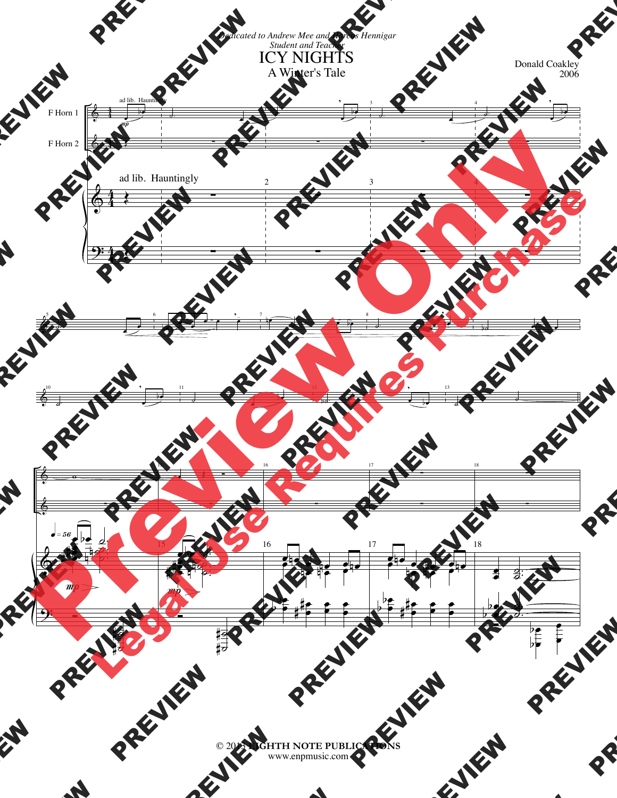## *Dedicated to Andrew Mee and Harcus Hennigar Student and Teacher* ICY NIGHTS<br>A Winter's Tale A Winter's Tale Donald Coakley 2006

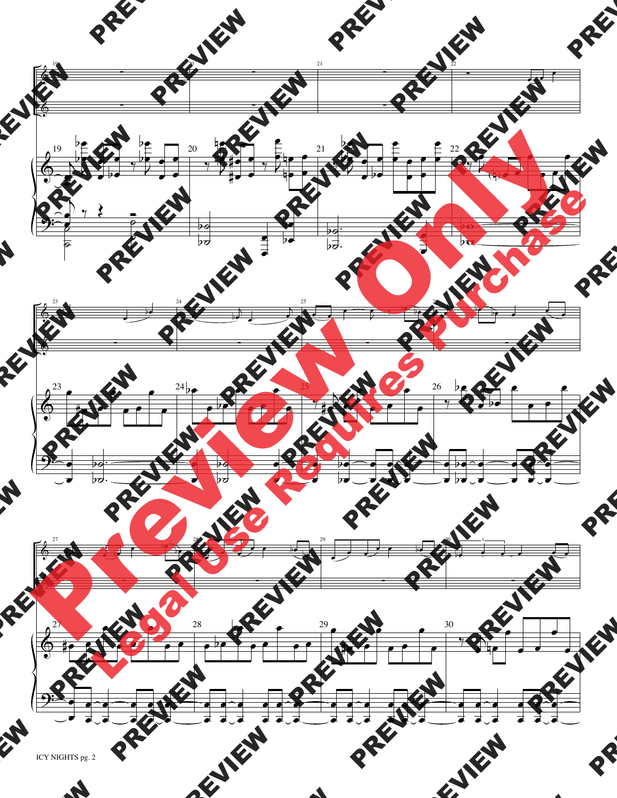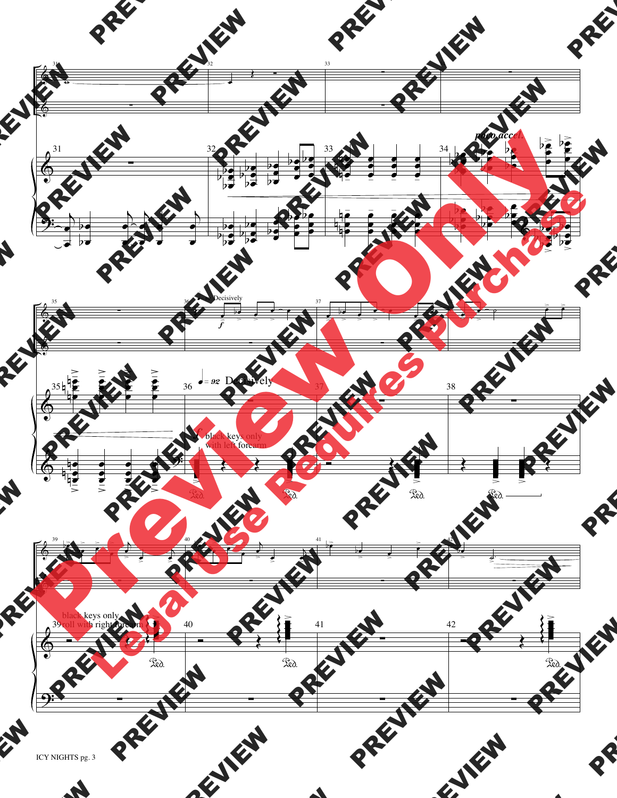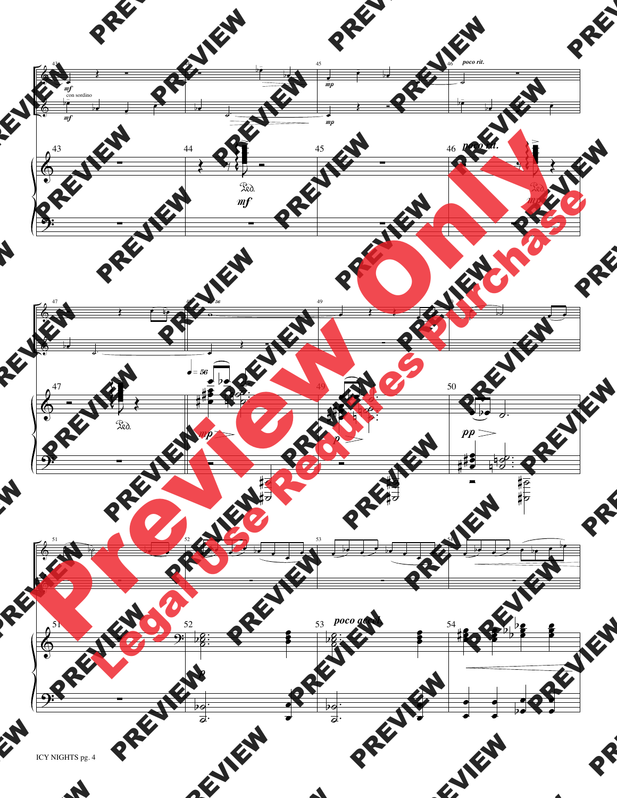

ICY NIGHTS pg. 4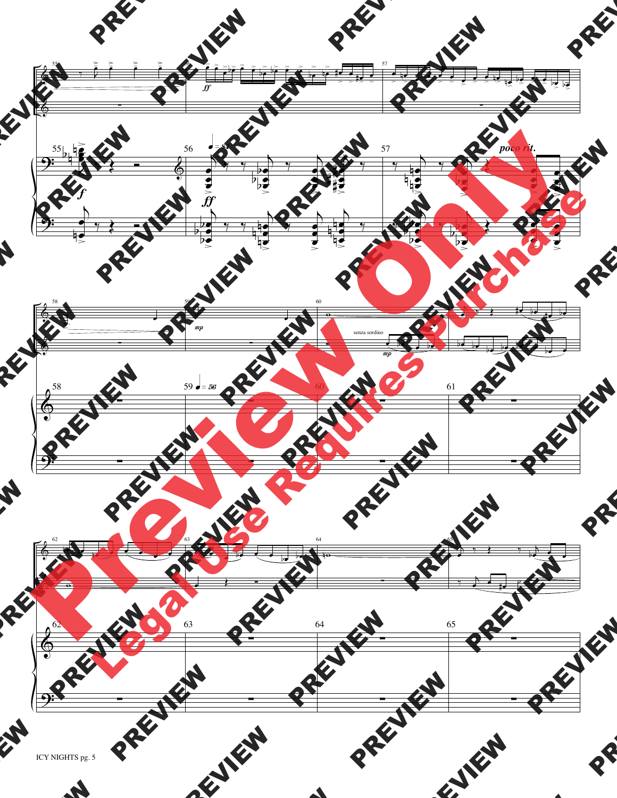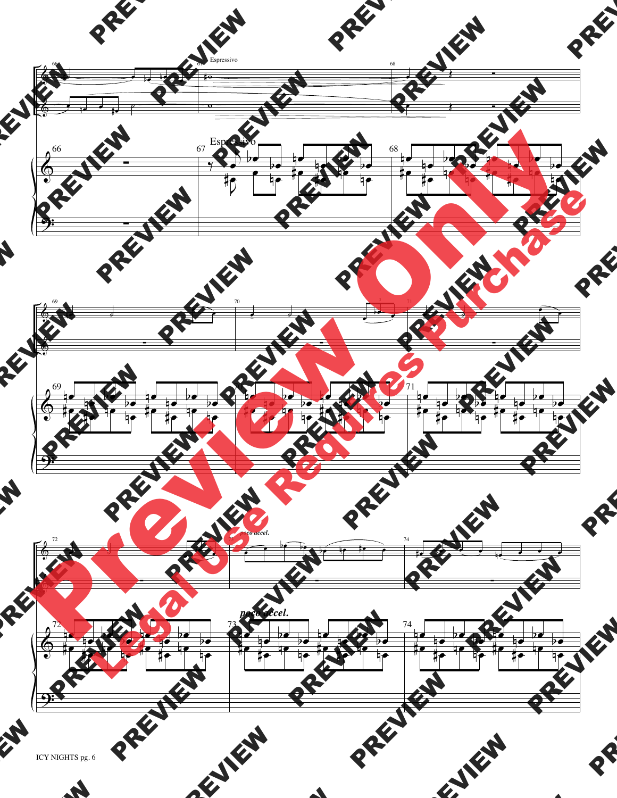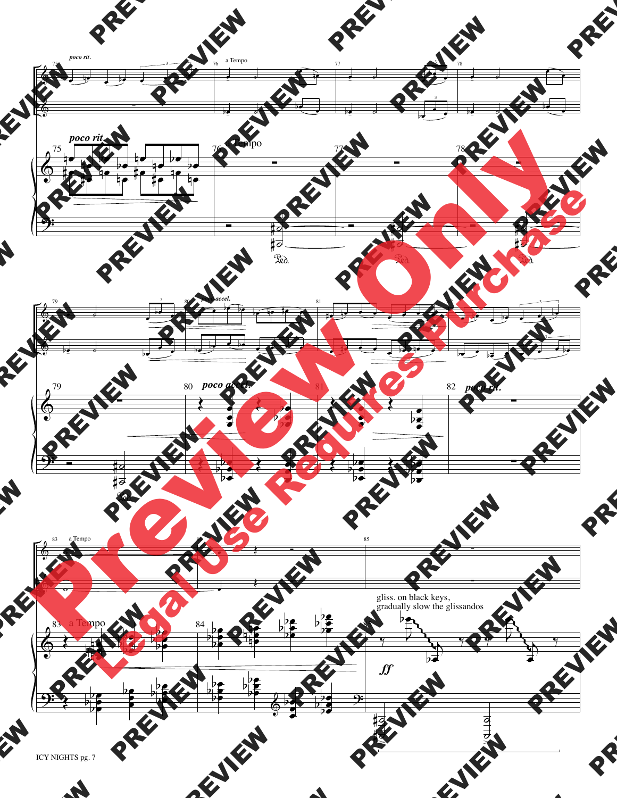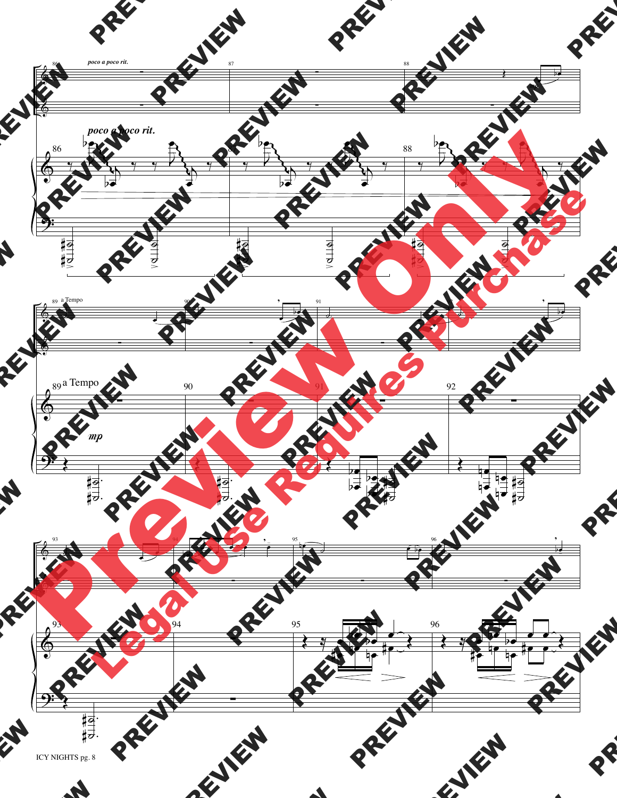